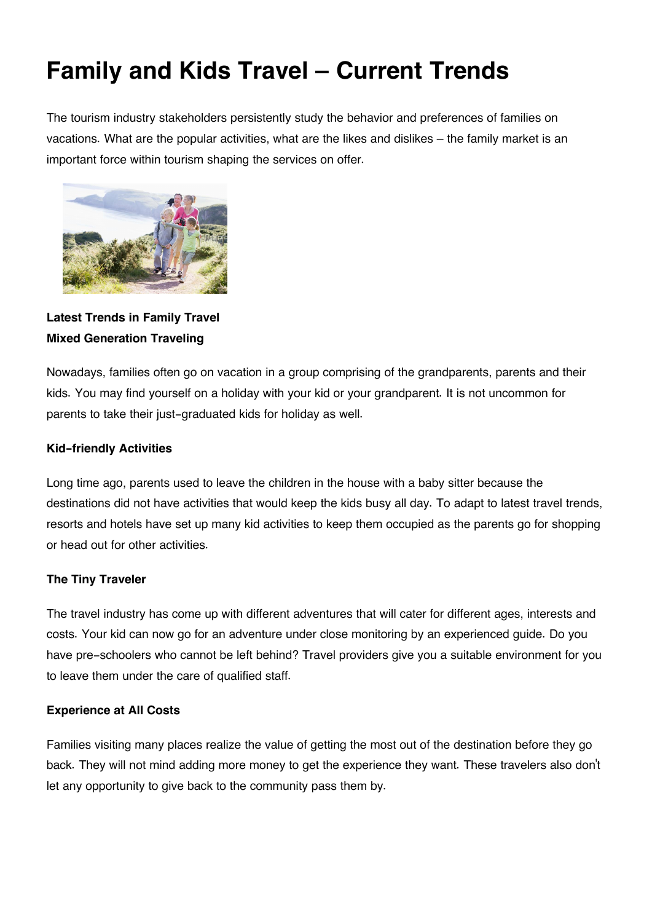# **Family and Kids Travel – Current Trends**

The tourism industry stakeholders persistently study the behavior and preferences of families on vacations. What are the popular activities, what are the likes and dislikes – the family market is an important force within tourism shaping the services on offer.



**Latest Trends in Family Travel Mixed Generation Traveling**

Nowadays, families often go on vacation in a group comprising of the grandparents, parents and their kids. You may find yourself on a holiday with your kid or your grandparent. It is not uncommon for parents to take their just-graduated kids for holiday as well.

## **Kid-friendly Activities**

Long time ago, parents used to leave the children in the house with a baby sitter because the destinations did not have activities that would keep the kids busy all day. To adapt to latest travel trends, resorts and hotels have set up many kid activities to keep them occupied as the parents go for shopping or head out for other activities.

## **The Tiny Traveler**

The travel industry has come up with different adventures that will cater for different ages, interests and costs. Your kid can now go for an adventure under close monitoring by an experienced guide. Do you have pre-schoolers who cannot be left behind? Travel providers give you a suitable environment for you to leave them under the care of qualified staff.

## **Experience at All Costs**

Families visiting many places realize the value of getting the most out of the destination before they go back. They will not mind adding more money to get the experience they want. These travelers also don't let any opportunity to give back to the community pass them by.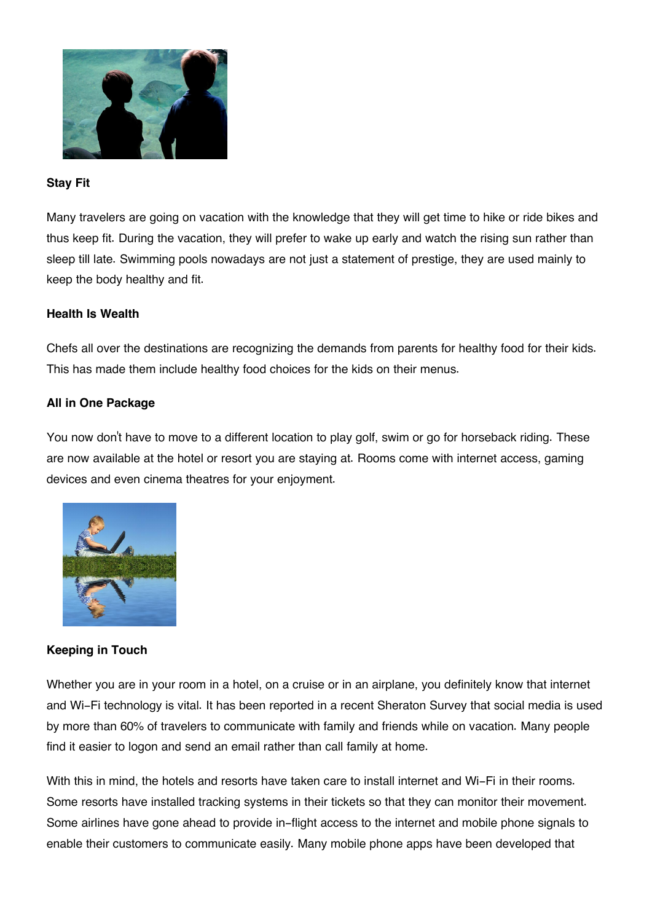

#### **Stay Fit**

Many travelers are going on vacation with the knowledge that they will get time to hike or ride bikes and thus keep fit. During the vacation, they will prefer to wake up early and watch the rising sun rather than sleep till late. Swimming pools nowadays are not just a statement of prestige, they are used mainly to keep the body healthy and fit.

#### **Health Is Wealth**

Chefs all over the destinations are recognizing the demands from parents for healthy food for their kids. This has made them include healthy food choices for the kids on their menus.

### **All in One Package**

You now don't have to move to a different location to play golf, swim or go for horseback riding. These are now available at the hotel or resort you are staying at. Rooms come with internet access, gaming devices and even cinema theatres for your enjoyment.



#### **Keeping in Touch**

Whether you are in your room in a hotel, on a cruise or in an airplane, you definitely know that internet and Wi-Fi technology is vital. It has been reported in a recent Sheraton Survey that social media is used by more than 60% of travelers to communicate with family and friends while on vacation. Many people find it easier to logon and send an email rather than call family at home.

With this in mind, the hotels and resorts have taken care to install internet and Wi-Fi in their rooms. Some resorts have installed tracking systems in their tickets so that they can monitor their movement. Some airlines have gone ahead to provide in-flight access to the internet and mobile phone signals to enable their customers to communicate easily. Many mobile phone apps have been developed that